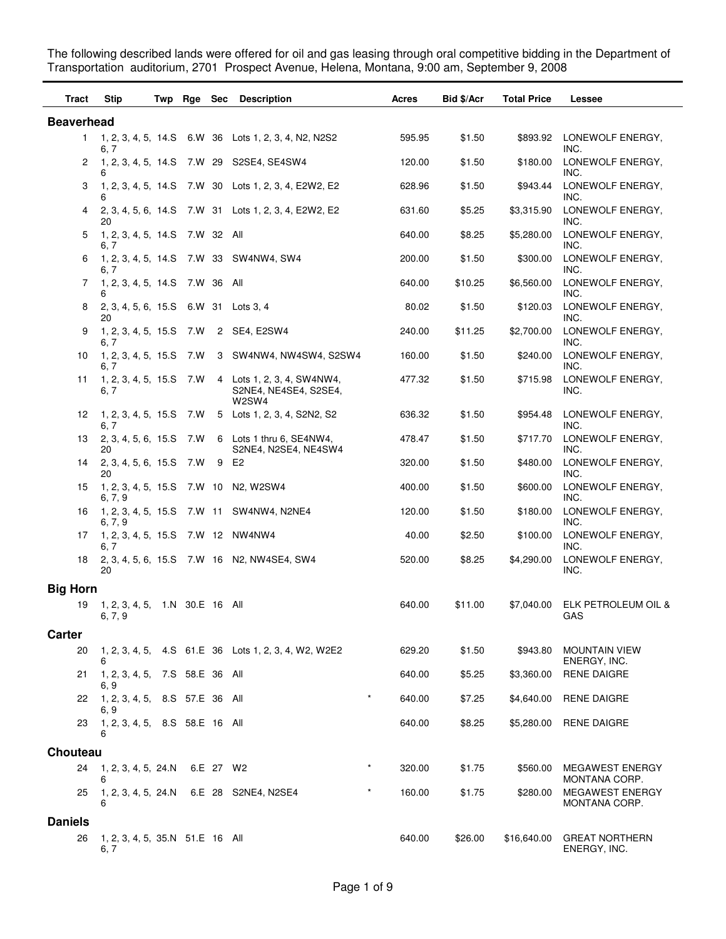**Tract Stip Twp Rge Sec Description Acres Bid \$/Acr Total Price Lessee Beaverhead** 1 1, 2, 3, 4, 5, 14.S 6.W 36 Lots 1, 2, 3, 4, N2, N2S2 595.95 6, 7 \$1.50 \$893.92 LONEWOLF ENERGY, INC. 2 1, 2, 3, 4, 5, 14.S 7.W 29 S2SE4, SE4SW4 120.00 6 \$1.50 \$180.00 LONEWOLF ENERGY, INC. 3 30 1, 2, 3, 4, 5, 14.S 7.W Lots 1, 2, 3, 4, E2W2, E2 628.96 6 \$1.50 \$943.44 LONEWOLF ENERGY, INC. 4 31 2, 3, 4, 5, 6, 14.S 7.W Lots 1, 2, 3, 4, E2W2, E2 631.60 20 \$5.25 \$3,315.90 LONEWOLF ENERGY, INC. 5 1, 2, 3, 4, 5, 14.S 7.W 32 All 640.00 6, 7 \$8.25 \$5,280.00 LONEWOLF ENERGY, INC. 6 33 1, 2, 3, 4, 5, 14.S 7.W SW4NW4, SW4 200.00 6, 7 \$1.50 \$300.00 LONEWOLF ENERGY, INC. 7 1, 2, 3, 4, 5, 14.S 7.W 36 All 640.00 6 \$10.25 \$6,560.00 LONEWOLF ENERGY, INC. 8 2, 3, 4, 5, 6, 15.S 6.W 31 Lots 3, 4 80.02 20 \$1.50 \$120.03 LONEWOLF ENERGY, INC. 9 1, 2, 3, 4, 5, 15.S 7.W 2 SE4, E2SW4 240.00 6, 7 \$11.25 \$2,700.00 LONEWOLF ENERGY, INC. 10 3 1, 2, 3, 4, 5, 15.S 7.W SW4NW4, NW4SW4, S2SW4 160.00 6, 7 \$1.50 \$240.00 LONEWOLF ENERGY, INC. 11 1, 2, 3, 4, 5, 15.S 7.W 4 Lots 1, 2, 3, 4, SW4NW4, 477.32 S2NE4, NE4SE4, S2SE4, W2SW4 6, 7 \$1.50 \$715.98 LONEWOLF ENERGY, INC. 12 1, 2, 3, 4, 5, 15.S 7.W 5 Lots 1, 2, 3, 4, S2N2, S2 636.32 6, 7 \$1.50 \$954.48 LONEWOLF ENERGY, INC. Lots 1 thru 6, SE4NW4, S2NE4, N2SE4, NE4SW4 13 2, 3, 4, 5, 6, 15.S 7.W 6 Lots 1 thru 6, SE4NW4, 478.47 20 \$1.50 \$717.70 LONEWOLF ENERGY, INC. 14 2, 3, 4, 5, 6, 15.S 7.W 9 E2 320.00 20 \$1.50 \$480.00 LONEWOLF ENERGY, INC. 15 1, 2, 3, 4, 5, 15.S 7.W 10 N2, W2SW4 400.00 6, 7, 9 \$1.50 \$600.00 LONEWOLF ENERGY, INC. 16 1, 2, 3, 4, 5, 15.S 7.W 11 SW4NW4, N2NE4 120.00 6, 7, 9 \$1.50 \$180.00 LONEWOLF ENERGY, INC. 17 1, 2, 3, 4, 5, 15.S 7.W 12 NW4NW4 40.00 6, 7 \$2.50 \$100.00 LONEWOLF ENERGY, INC. 18 2, 3, 4, 5, 6, 15.S 7.W 16 N2, NW4SE4, SW4 520.00 20 \$8.25 \$4,290.00 LONEWOLF ENERGY, INC. **Big Horn** 19 1, 2, 3, 4, 5, 1.N 30.E 16 All 640.00 6, 7, 9 \$11.00 \$7,040.00 ELK PETROLEUM OIL & GAS **Carter** 20 1, 2, 3, 4, 5, 4.S 61.E 36 Lots 1, 2, 3, 4, W2, W2E2 629.20 6 \$1.50 \$943.80 MOUNTAIN VIEW ENERGY, INC. 21 1, 2, 3, 4, 5, 7.S 58.E 36 All 640.00 6, 9 \$5.25 \$3,360.00 RENE DAIGRE 22 1, 2, 3, 4, 5, 8.S 57.E 36 All \* 640.00 6, 9 \$7.25 \$4,640.00 RENE DAIGRE 23 1, 2, 3, 4, 5, 8.S 58.E 16 All 640.00 6 \$8.25 \$5,280.00 RENE DAIGRE **Chouteau** 24 1, 2, 3, 4, 5, 24.N 6.E 27 W2 \* 320.00 6 \$1.75 \$560.00 MEGAWEST ENERGY MONTANA CORP. \* 25 1, 2, 3, 4, 5, 24.N 6.E 28 S2NE4, N2SE4 \* 160.00 6 \$1.75 \$280.00 MEGAWEST ENERGY MONTANA CORP. \* **Daniels** 26 1, 2, 3, 4, 5, 35.N 51.E 16 All 640.00 6, 7 \$26.00 \$16,640.00 GREAT NORTHERN ENERGY, INC.

The following described lands were offered for oil and gas leasing through oral competitive bidding in the Department of Transportation auditorium, 2701 Prospect Avenue, Helena, Montana, 9:00 am, September 9, 2008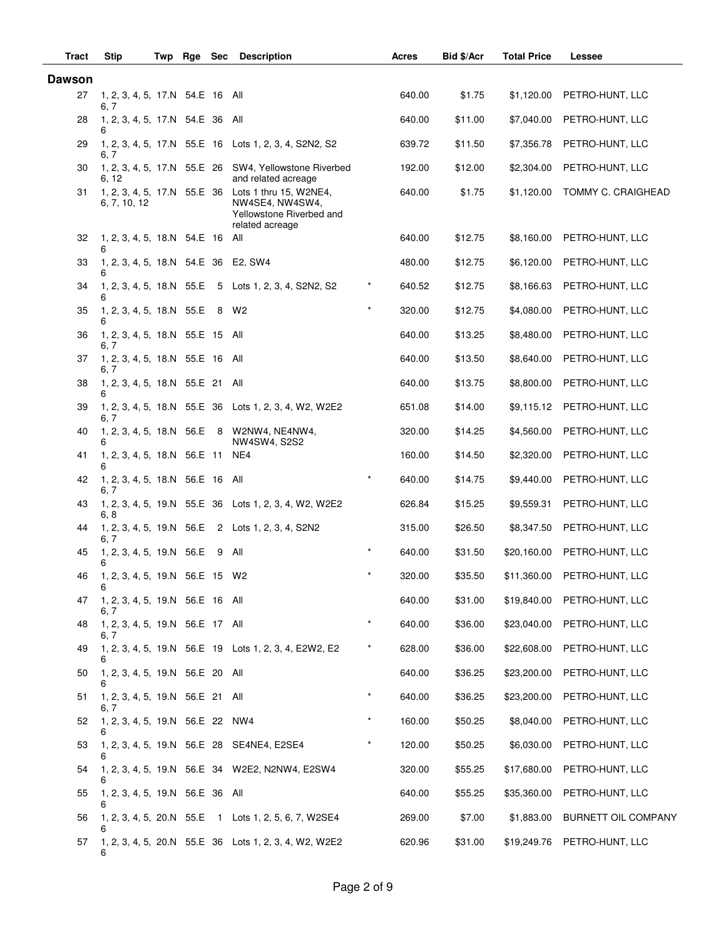| Tract         | <b>Stip</b>                                 | Twp | Rge Sec |       | <b>Description</b>                                                                       |            | <b>Acres</b> | Bid \$/Acr | <b>Total Price</b> | Lessee              |
|---------------|---------------------------------------------|-----|---------|-------|------------------------------------------------------------------------------------------|------------|--------------|------------|--------------------|---------------------|
| <b>Dawson</b> |                                             |     |         |       |                                                                                          |            |              |            |                    |                     |
| 27            | 1, 2, 3, 4, 5, 17.N 54.E 16 All<br>6, 7     |     |         |       |                                                                                          |            | 640.00       | \$1.75     | \$1,120.00         | PETRO-HUNT, LLC     |
| 28            | 1, 2, 3, 4, 5, 17.N 54.E 36 All<br>6        |     |         |       |                                                                                          |            | 640.00       | \$11.00    | \$7,040.00         | PETRO-HUNT, LLC     |
| 29            | 6. 7                                        |     |         |       | 1, 2, 3, 4, 5, 17.N 55.E 16 Lots 1, 2, 3, 4, S2N2, S2                                    |            | 639.72       | \$11.50    | \$7,356.78         | PETRO-HUNT, LLC     |
| 30            | 6, 12                                       |     |         |       | 1, 2, 3, 4, 5, 17.N 55.E 26 SW4, Yellowstone Riverbed<br>and related acreage             |            | 192.00       | \$12.00    | \$2,304.00         | PETRO-HUNT, LLC     |
| 31            | 1, 2, 3, 4, 5, 17.N 55.E 36<br>6, 7, 10, 12 |     |         |       | Lots 1 thru 15, W2NE4,<br>NW4SE4, NW4SW4,<br>Yellowstone Riverbed and<br>related acreage |            | 640.00       | \$1.75     | \$1,120.00         | TOMMY C. CRAIGHEAD  |
| 32            | 1, 2, 3, 4, 5, 18.N 54.E 16 All<br>6        |     |         |       |                                                                                          |            | 640.00       | \$12.75    | \$8,160.00         | PETRO-HUNT, LLC     |
| 33            | 1, 2, 3, 4, 5, 18.N 54.E 36 E2, SW4<br>6    |     |         |       |                                                                                          |            | 480.00       | \$12.75    | \$6,120.00         | PETRO-HUNT, LLC     |
| 34            | 1, 2, 3, 4, 5, 18.N 55.E<br>6               |     |         |       | 5 Lots 1, 2, 3, 4, S2N2, S2                                                              | *          | 640.52       | \$12.75    | \$8,166.63         | PETRO-HUNT, LLC     |
| 35            | 1, 2, 3, 4, 5, 18.N 55.E 8<br>6             |     |         |       | W2                                                                                       | $\star$    | 320.00       | \$12.75    | \$4,080.00         | PETRO-HUNT, LLC     |
| 36            | 1, 2, 3, 4, 5, 18.N 55.E 15 All<br>6, 7     |     |         |       |                                                                                          |            | 640.00       | \$13.25    | \$8,480.00         | PETRO-HUNT, LLC     |
| 37            | 1, 2, 3, 4, 5, 18.N 55.E 16 All<br>6, 7     |     |         |       |                                                                                          |            | 640.00       | \$13.50    | \$8,640.00         | PETRO-HUNT, LLC     |
| 38            | 1, 2, 3, 4, 5, 18.N 55.E 21 All<br>6        |     |         |       |                                                                                          |            | 640.00       | \$13.75    | \$8,800.00         | PETRO-HUNT, LLC     |
| 39            | 6, 7                                        |     |         |       | 1, 2, 3, 4, 5, 18.N 55.E 36 Lots 1, 2, 3, 4, W2, W2E2                                    |            | 651.08       | \$14.00    | \$9,115.12         | PETRO-HUNT, LLC     |
| 40            | 6                                           |     |         |       | 1, 2, 3, 4, 5, 18.N 56.E 8 W2NW4, NE4NW4,<br>NW4SW4, S2S2                                |            | 320.00       | \$14.25    | \$4,560.00         | PETRO-HUNT, LLC     |
| 41            | 1, 2, 3, 4, 5, 18.N 56.E 11 NE4<br>6        |     |         |       |                                                                                          |            | 160.00       | \$14.50    | \$2,320.00         | PETRO-HUNT, LLC     |
| 42            | 1, 2, 3, 4, 5, 18.N 56.E 16 All<br>6, 7     |     |         |       |                                                                                          |            | 640.00       | \$14.75    | \$9,440.00         | PETRO-HUNT, LLC     |
| 43            | 6, 8                                        |     |         |       | 1, 2, 3, 4, 5, 19.N 55.E 36 Lots 1, 2, 3, 4, W2, W2E2                                    |            | 626.84       | \$15.25    | \$9,559.31         | PETRO-HUNT, LLC     |
| 44            | 6, 7                                        |     |         |       | 1, 2, 3, 4, 5, 19.N 56.E 2 Lots 1, 2, 3, 4, S2N2                                         |            | 315.00       | \$26.50    | \$8,347.50         | PETRO-HUNT, LLC     |
| 45            | 1, 2, 3, 4, 5, 19.N 56.E<br>6               |     |         | 9 All |                                                                                          | $\star$    | 640.00       | \$31.50    | \$20,160.00        | PETRO-HUNT, LLC     |
| 46            | 1, 2, 3, 4, 5, 19.N 56.E 15<br>6            |     |         |       | W2                                                                                       | $\ast$     | 320.00       | \$35.50    | \$11,360.00        | PETRO-HUNT, LLC     |
| 47            | 1, 2, 3, 4, 5, 19.N 56.E 16 All<br>6, 7     |     |         |       |                                                                                          |            | 640.00       | \$31.00    | \$19,840.00        | PETRO-HUNT, LLC     |
| 48            | 1, 2, 3, 4, 5, 19.N 56.E 17 All<br>6, 7     |     |         |       |                                                                                          | $\star$    | 640.00       | \$36.00    | \$23,040.00        | PETRO-HUNT, LLC     |
| 49            | 6                                           |     |         |       | 1, 2, 3, 4, 5, 19.N 56.E 19 Lots 1, 2, 3, 4, E2W2, E2                                    | $^{\star}$ | 628.00       | \$36.00    | \$22,608.00        | PETRO-HUNT, LLC     |
| 50            | 1, 2, 3, 4, 5, 19.N 56.E 20 All<br>6        |     |         |       |                                                                                          |            | 640.00       | \$36.25    | \$23,200.00        | PETRO-HUNT, LLC     |
| 51            | 1, 2, 3, 4, 5, 19.N 56.E 21 All<br>6, 7     |     |         |       |                                                                                          | $\star$    | 640.00       | \$36.25    | \$23,200.00        | PETRO-HUNT, LLC     |
| 52            | 1, 2, 3, 4, 5, 19.N 56.E 22 NW4             |     |         |       |                                                                                          | $\star$    | 160.00       | \$50.25    | \$8,040.00         | PETRO-HUNT, LLC     |
| 53            | 6                                           |     |         |       | 1, 2, 3, 4, 5, 19.N 56.E 28 SE4NE4, E2SE4                                                | $^\star$   | 120.00       | \$50.25    | \$6,030.00         | PETRO-HUNT, LLC     |
| 54            | 6                                           |     |         |       | 1, 2, 3, 4, 5, 19.N 56.E 34 W2E2, N2NW4, E2SW4                                           |            | 320.00       | \$55.25    | \$17,680.00        | PETRO-HUNT, LLC     |
| 55            | 1, 2, 3, 4, 5, 19.N 56.E 36 All             |     |         |       |                                                                                          |            | 640.00       | \$55.25    | \$35,360.00        | PETRO-HUNT, LLC     |
| 56            | 6                                           |     |         |       | 1, 2, 3, 4, 5, 20.N 55.E 1 Lots 1, 2, 5, 6, 7, W2SE4                                     |            | 269.00       | \$7.00     | \$1,883.00         | BURNETT OIL COMPANY |
| 57            | 6                                           |     |         |       | 1, 2, 3, 4, 5, 20. N 55. E 36 Lots 1, 2, 3, 4, W2, W2E2                                  |            | 620.96       | \$31.00    | \$19,249.76        | PETRO-HUNT, LLC     |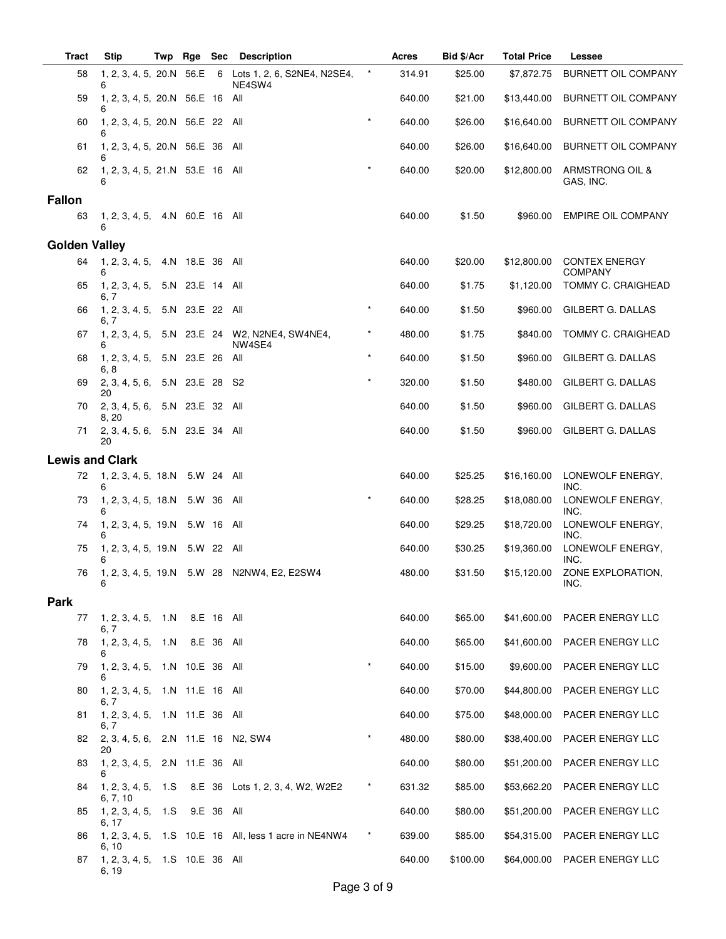| <b>Tract</b>           | <b>Stip</b>                                      | Twp | Rge | Sec        | <b>Description</b>                                      |          | Acres  | Bid \$/Acr | <b>Total Price</b> | Lessee                                 |
|------------------------|--------------------------------------------------|-----|-----|------------|---------------------------------------------------------|----------|--------|------------|--------------------|----------------------------------------|
| 58                     | 1, 2, 3, 4, 5, 20.N 56.E<br>6                    |     |     |            | 6 Lots 1, 2, 6, S2NE4, N2SE4,<br>NE4SW4                 | $^\star$ | 314.91 | \$25.00    | \$7,872.75         | <b>BURNETT OIL COMPANY</b>             |
| 59                     | 1, 2, 3, 4, 5, 20.N 56.E 16 All<br>6             |     |     |            |                                                         |          | 640.00 | \$21.00    | \$13,440.00        | <b>BURNETT OIL COMPANY</b>             |
| 60                     | 1, 2, 3, 4, 5, 20.N 56.E 22 All                  |     |     |            |                                                         | $\star$  | 640.00 | \$26.00    | \$16,640.00        | <b>BURNETT OIL COMPANY</b>             |
| 61                     | 6<br>1, 2, 3, 4, 5, 20.N 56.E 36 All             |     |     |            |                                                         |          | 640.00 | \$26.00    | \$16,640.00        | <b>BURNETT OIL COMPANY</b>             |
| 62                     | 1, 2, 3, 4, 5, 21.N 53.E 16 All<br>6             |     |     |            |                                                         | $\star$  | 640.00 | \$20.00    | \$12,800.00        | ARMSTRONG OIL &<br>GAS, INC.           |
| <b>Fallon</b>          |                                                  |     |     |            |                                                         |          |        |            |                    |                                        |
| 63                     | 1, 2, 3, 4, 5, 4.N 60.E 16 All<br>6              |     |     |            |                                                         |          | 640.00 | \$1.50     | \$960.00           | EMPIRE OIL COMPANY                     |
| <b>Golden Valley</b>   |                                                  |     |     |            |                                                         |          |        |            |                    |                                        |
| 64                     | 1, 2, 3, 4, 5, 4.N 18.E 36 All<br>6              |     |     |            |                                                         |          | 640.00 | \$20.00    | \$12,800.00        | <b>CONTEX ENERGY</b><br><b>COMPANY</b> |
| 65                     | 1, 2, 3, 4, 5, 5.N 23.E 14 All<br>6. 7           |     |     |            |                                                         |          | 640.00 | \$1.75     | \$1,120.00         | TOMMY C. CRAIGHEAD                     |
| 66                     | 1, 2, 3, 4, 5, 5.N 23.E 22 All<br>6, 7           |     |     |            |                                                         | $\star$  | 640.00 | \$1.50     | \$960.00           | GILBERT G. DALLAS                      |
| 67                     | 6                                                |     |     |            | 1, 2, 3, 4, 5, 5.N 23.E 24 W2, N2NE4, SW4NE4,<br>NW4SE4 |          | 480.00 | \$1.75     | \$840.00           | TOMMY C. CRAIGHEAD                     |
| 68                     | 1, 2, 3, 4, 5, 5.N 23.E 26<br>6, 8               |     |     |            | All                                                     | $\star$  | 640.00 | \$1.50     | \$960.00           | <b>GILBERT G. DALLAS</b>               |
| 69                     | 2, 3, 4, 5, 6, 5.N 23.E 28<br>20                 |     |     |            | S2                                                      | $\star$  | 320.00 | \$1.50     | \$480.00           | <b>GILBERT G. DALLAS</b>               |
| 70                     | 2, 3, 4, 5, 6, 5.N 23.E 32 All<br>8, 20          |     |     |            |                                                         |          | 640.00 | \$1.50     | \$960.00           | GILBERT G. DALLAS                      |
| 71                     | 2, 3, 4, 5, 6, 5.N 23.E 34 All<br>20             |     |     |            |                                                         |          | 640.00 | \$1.50     | \$960.00           | GILBERT G. DALLAS                      |
| <b>Lewis and Clark</b> |                                                  |     |     |            |                                                         |          |        |            |                    |                                        |
| 72                     | 1, 2, 3, 4, 5, 18.N 5.W 24 All<br>6              |     |     |            |                                                         |          | 640.00 | \$25.25    | \$16,160.00        | LONEWOLF ENERGY,<br>INC.               |
| 73                     | 1, 2, 3, 4, 5, 18.N 5.W 36 All                   |     |     |            |                                                         | $\star$  | 640.00 | \$28.25    | \$18,080.00        | LONEWOLF ENERGY,<br>INC.               |
| 74                     | 1, 2, 3, 4, 5, 19.N 5.W 16 All<br>6              |     |     |            |                                                         |          | 640.00 | \$29.25    | \$18,720.00        | LONEWOLF ENERGY,<br>INC.               |
| 75                     | 1, 2, 3, 4, 5, 19.N 5.W 22 All<br>6              |     |     |            |                                                         |          | 640.00 | \$30.25    | \$19,360.00        | LONEWOLF ENERGY,<br>INC.               |
| 76                     | 6                                                |     |     |            | 1, 2, 3, 4, 5, 19.N 5.W 28 N2NW4, E2, E2SW4             |          | 480.00 | \$31.50    | \$15,120.00        | ZONE EXPLORATION,<br>ING.              |
| <b>Park</b>            |                                                  |     |     |            |                                                         |          |        |            |                    |                                        |
| 77                     | 1, 2, 3, 4, 5, 1.N 8.E 16 All                    |     |     |            |                                                         |          | 640.00 | \$65.00    | \$41,600.00        | PACER ENERGY LLC                       |
| 78                     | 6, 7<br>1, 2, 3, 4, 5, 1.N                       |     |     | 8.E 36 All |                                                         |          | 640.00 | \$65.00    | \$41,600.00        | PACER ENERGY LLC                       |
| 79                     | 6<br>1, 2, 3, 4, 5, 1.N 10.E 36 All              |     |     |            |                                                         | $\star$  | 640.00 | \$15.00    | \$9,600.00         | PACER ENERGY LLC                       |
| 80                     | 1, 2, 3, 4, 5, 1.N 11.E 16 All                   |     |     |            |                                                         |          | 640.00 | \$70.00    | \$44,800.00        | PACER ENERGY LLC                       |
| 81                     | 6, 7<br>1, 2, 3, 4, 5, 1.N 11.E 36 All           |     |     |            |                                                         |          | 640.00 | \$75.00    | \$48,000.00        | PACER ENERGY LLC                       |
| 82                     | 6, 7<br>2, 3, 4, 5, 6, 2.N 11.E 16 N2, SW4<br>20 |     |     |            |                                                         | $\star$  | 480.00 | \$80.00    | \$38,400.00        | PACER ENERGY LLC                       |
| 83                     | 1, 2, 3, 4, 5, 2.N 11.E 36 All<br>6              |     |     |            |                                                         |          | 640.00 | \$80.00    | \$51,200.00        | PACER ENERGY LLC                       |
| 84                     | 1, 2, 3, 4, 5, 1.S                               |     |     |            | 8.E 36 Lots 1, 2, 3, 4, W2, W2E2                        |          | 631.32 | \$85.00    | \$53,662.20        | PACER ENERGY LLC                       |
| 85                     | 6, 7, 10<br>1, 2, 3, 4, 5, 1.S                   |     |     | 9.E 36 All |                                                         |          | 640.00 | \$80.00    | \$51,200.00        | PACER ENERGY LLC                       |
| 86                     | 6, 17                                            |     |     |            | 1, 2, 3, 4, 5, 1.S 10.E 16 All, less 1 acre in NE4NW4   | $\star$  | 639.00 | \$85.00    | \$54,315.00        | PACER ENERGY LLC                       |
| 87                     | 6, 10<br>1, 2, 3, 4, 5, 1.S 10.E 36 All<br>6, 19 |     |     |            |                                                         |          | 640.00 | \$100.00   |                    | \$64,000.00 PACER ENERGY LLC           |
|                        |                                                  |     |     |            |                                                         |          |        |            |                    |                                        |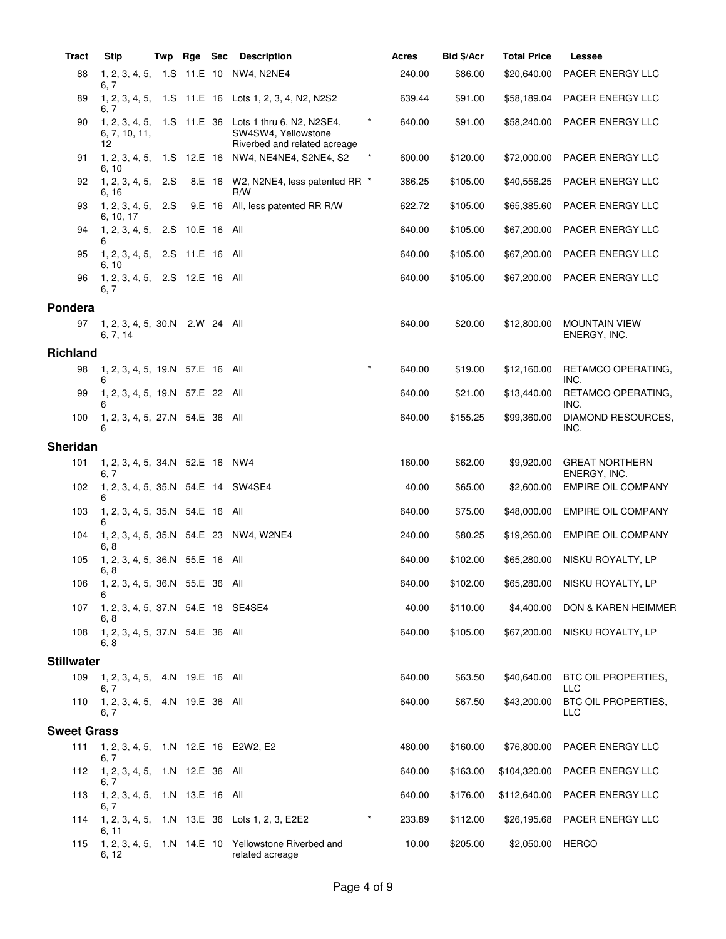| <b>Tract</b>       | <b>Stip</b>                                 | Twp Rge | <b>Sec</b> | <b>Description</b>                                                                                          | Acres  | Bid \$/Acr | <b>Total Price</b> | Lessee                                |
|--------------------|---------------------------------------------|---------|------------|-------------------------------------------------------------------------------------------------------------|--------|------------|--------------------|---------------------------------------|
| 88                 | 6, 7                                        |         |            | 1, 2, 3, 4, 5, 1.S 11.E 10 NW4, N2NE4                                                                       | 240.00 | \$86.00    | \$20,640.00        | PACER ENERGY LLC                      |
| 89                 | 6, 7                                        |         |            | 1, 2, 3, 4, 5, 1.S 11.E 16 Lots 1, 2, 3, 4, N2, N2S2                                                        | 639.44 | \$91.00    | \$58,189.04        | PACER ENERGY LLC                      |
| 90                 | 6, 7, 10, 11,<br>12                         |         |            | 1, 2, 3, 4, 5, 1.S 11.E 36 Lots 1 thru 6, N2, N2SE4,<br>SW4SW4, Yellowstone<br>Riverbed and related acreage | 640.00 | \$91.00    | \$58,240.00        | PACER ENERGY LLC                      |
| 91                 | 6, 10                                       |         |            | 1, 2, 3, 4, 5, 1.S 12.E 16 NW4, NE4NE4, S2NE4, S2                                                           | 600.00 | \$120.00   | \$72,000.00        | PACER ENERGY LLC                      |
| 92                 | 1, 2, 3, 4, 5, 2.S<br>6, 16                 |         |            | 8.E 16 W2, N2NE4, less patented RR *<br>R/W                                                                 | 386.25 | \$105.00   | \$40,556.25        | PACER ENERGY LLC                      |
| 93                 | 1, 2, 3, 4, 5, 2.S<br>6, 10, 17             |         |            | 9.E 16 All, less patented RR R/W                                                                            | 622.72 | \$105.00   | \$65,385.60        | PACER ENERGY LLC                      |
| 94                 | 1, 2, 3, 4, 5, 2.S 10.E 16 All<br>6         |         |            |                                                                                                             | 640.00 | \$105.00   | \$67,200.00        | PACER ENERGY LLC                      |
| 95                 | 1, 2, 3, 4, 5, 2.S 11.E 16 All<br>6, 10     |         |            |                                                                                                             | 640.00 | \$105.00   | \$67,200.00        | PACER ENERGY LLC                      |
| 96                 | 1, 2, 3, 4, 5, 2.S 12.E 16 All<br>6, 7      |         |            |                                                                                                             | 640.00 | \$105.00   | \$67,200.00        | PACER ENERGY LLC                      |
| Pondera            |                                             |         |            |                                                                                                             |        |            |                    |                                       |
| 97                 | 1, 2, 3, 4, 5, 30.N 2.W 24 All<br>6, 7, 14  |         |            |                                                                                                             | 640.00 | \$20.00    | \$12,800.00        | <b>MOUNTAIN VIEW</b><br>ENERGY, INC.  |
| <b>Richland</b>    |                                             |         |            |                                                                                                             |        |            |                    |                                       |
| 98                 | 1, 2, 3, 4, 5, 19.N 57.E 16 All<br>6        |         |            | $\star$                                                                                                     | 640.00 | \$19.00    | \$12,160.00        | RETAMCO OPERATING,<br>INC.            |
| 99                 | 1, 2, 3, 4, 5, 19.N 57.E 22 All<br>6        |         |            |                                                                                                             | 640.00 | \$21.00    | \$13,440.00        | RETAMCO OPERATING,<br>INC.            |
| 100                | 1, 2, 3, 4, 5, 27.N 54.E 36 All<br>6        |         |            |                                                                                                             | 640.00 | \$155.25   | \$99,360.00        | DIAMOND RESOURCES,<br>INC.            |
| Sheridan           |                                             |         |            |                                                                                                             |        |            |                    |                                       |
| 101                | 1, 2, 3, 4, 5, 34.N 52.E 16 NW4<br>6. 7     |         |            |                                                                                                             | 160.00 | \$62.00    | \$9,920.00         | <b>GREAT NORTHERN</b><br>ENERGY, INC. |
| 102                | 1, 2, 3, 4, 5, 35.N 54.E 14 SW4SE4          |         |            |                                                                                                             | 40.00  | \$65.00    | \$2,600.00         | EMPIRE OIL COMPANY                    |
| 103                | 1, 2, 3, 4, 5, 35.N 54.E 16 All<br>6        |         |            |                                                                                                             | 640.00 | \$75.00    | \$48,000.00        | <b>EMPIRE OIL COMPANY</b>             |
| 104                | 6, 8                                        |         |            | 1, 2, 3, 4, 5, 35.N 54.E 23 NW4, W2NE4                                                                      | 240.00 | \$80.25    | \$19,260.00        | <b>EMPIRE OIL COMPANY</b>             |
| 105                | 1, 2, 3, 4, 5, 36.N 55.E 16 All<br>6, 8     |         |            |                                                                                                             | 640.00 | \$102.00   | \$65,280.00        | NISKU ROYALTY, LP                     |
| 106                | 1, 2, 3, 4, 5, 36.N 55.E 36 All<br>6        |         |            |                                                                                                             | 640.00 | \$102.00   |                    | \$65,280.00 NISKU ROYALTY, LP         |
| 107                | 1, 2, 3, 4, 5, 37.N 54.E 18 SE4SE4<br>6.8   |         |            |                                                                                                             | 40.00  | \$110.00   | \$4,400.00         | <b>DON &amp; KAREN HEIMMER</b>        |
| 108                | 1, 2, 3, 4, 5, 37.N 54.E 36 All<br>6, 8     |         |            |                                                                                                             | 640.00 | \$105.00   | \$67,200.00        | NISKU ROYALTY, LP                     |
| <b>Stillwater</b>  |                                             |         |            |                                                                                                             |        |            |                    |                                       |
| 109                | 1, 2, 3, 4, 5, 4.N 19.E 16 All<br>6, 7      |         |            |                                                                                                             | 640.00 | \$63.50    | \$40,640.00        | BTC OIL PROPERTIES,<br><b>LLC</b>     |
| 110                | 1, 2, 3, 4, 5, 4.N 19.E 36 All<br>6. 7      |         |            |                                                                                                             | 640.00 | \$67.50    | \$43,200.00        | BTC OIL PROPERTIES,<br>LLC            |
| <b>Sweet Grass</b> |                                             |         |            |                                                                                                             |        |            |                    |                                       |
| 111                | 1, 2, 3, 4, 5, 1.N 12.E 16 E2W2, E2<br>6, 7 |         |            |                                                                                                             | 480.00 | \$160.00   | \$76,800.00        | PACER ENERGY LLC                      |
| 112                | 1, 2, 3, 4, 5, 1.N 12.E 36 All<br>6, 7      |         |            |                                                                                                             | 640.00 | \$163.00   | \$104,320.00       | PACER ENERGY LLC                      |
| 113                | 1, 2, 3, 4, 5, 1.N 13.E 16 All<br>6, 7      |         |            |                                                                                                             | 640.00 | \$176.00   | \$112,640.00       | PACER ENERGY LLC                      |
| 114                |                                             |         |            | $\star$<br>1, 2, 3, 4, 5, 1.N 13.E 36 Lots 1, 2, 3, E2E2                                                    | 233.89 | \$112.00   | \$26,195.68        | PACER ENERGY LLC                      |
| 115                | 6, 11<br>6, 12                              |         |            | 1, 2, 3, 4, 5, 1.N 14.E 10 Yellowstone Riverbed and<br>related acreage                                      | 10.00  | \$205.00   | \$2,050.00 HERCO   |                                       |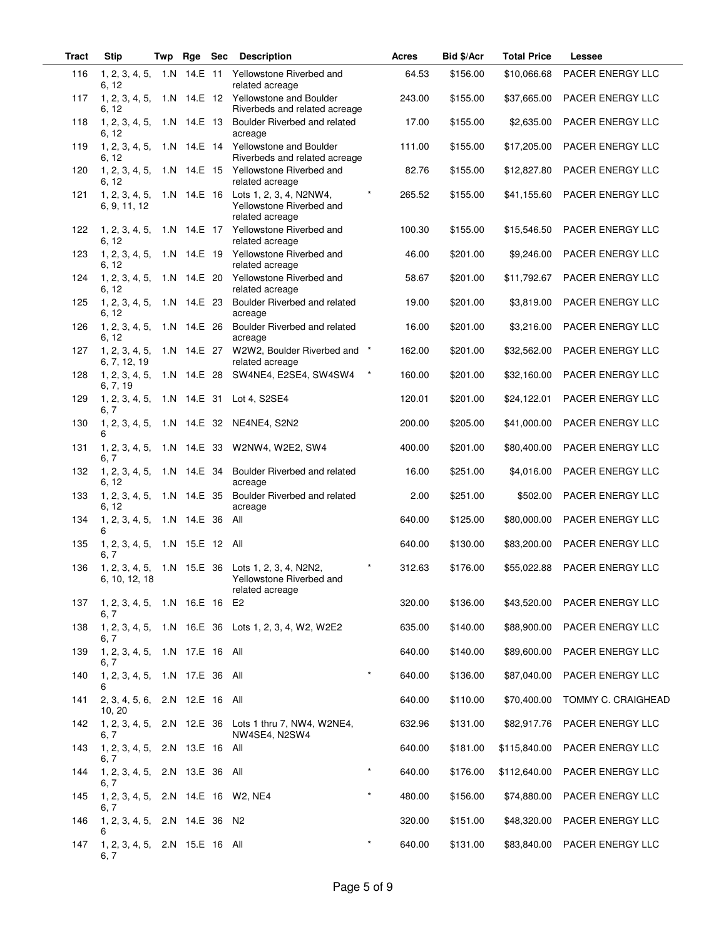| Tract | <b>Stip</b>                              | Twp | Rge             | <b>Sec</b> | <b>Description</b>                                                                               | Acres             | Bid \$/Acr | <b>Total Price</b> | Lessee                       |
|-------|------------------------------------------|-----|-----------------|------------|--------------------------------------------------------------------------------------------------|-------------------|------------|--------------------|------------------------------|
| 116   | 1, 2, 3, 4, 5,<br>6, 12                  |     |                 |            | 1.N 14.E 11 Yellowstone Riverbed and<br>related acreage                                          | 64.53             | \$156.00   | \$10,066.68        | PACER ENERGY LLC             |
| 117   | 6, 12                                    |     |                 |            | 1, 2, 3, 4, 5, 1.N 14.E 12 Yellowstone and Boulder<br>Riverbeds and related acreage              | 243.00            | \$155.00   | \$37,665.00        | PACER ENERGY LLC             |
| 118   | 1, 2, 3, 4, 5,<br>6, 12                  |     | 1.N 14.E 13     |            | Boulder Riverbed and related<br>acreage                                                          | 17.00             | \$155.00   | \$2,635.00         | PACER ENERGY LLC             |
| 119   | 1, 2, 3, 4, 5,<br>6, 12                  |     |                 |            | 1.N 14.E 14 Yellowstone and Boulder<br>Riverbeds and related acreage                             | 111.00            | \$155.00   | \$17,205.00        | PACER ENERGY LLC             |
| 120   | 1, 2, 3, 4, 5,<br>6, 12                  |     |                 |            | 1.N 14.E 15 Yellowstone Riverbed and<br>related acreage                                          | 82.76             | \$155.00   | \$12,827.80        | PACER ENERGY LLC             |
| 121   | 1, 2, 3, 4, 5,<br>6, 9, 11, 12           |     |                 |            | 1.N 14.E 16 Lots 1, 2, 3, 4, N2NW4,<br>Yellowstone Riverbed and<br>related acreage               | 265.52            | \$155.00   | \$41,155.60        | PACER ENERGY LLC             |
| 122   | 1, 2, 3, 4, 5,<br>6, 12                  |     |                 |            | 1.N 14.E 17 Yellowstone Riverbed and<br>related acreage                                          | 100.30            | \$155.00   | \$15,546.50        | PACER ENERGY LLC             |
| 123   | 1, 2, 3, 4, 5,<br>6, 12                  |     |                 |            | 1.N 14.E 19 Yellowstone Riverbed and<br>related acreage                                          | 46.00             | \$201.00   | \$9,246.00         | PACER ENERGY LLC             |
| 124   | 1, 2, 3, 4, 5,<br>6, 12                  |     | 1.N 14.E 20     |            | Yellowstone Riverbed and<br>related acreage                                                      | 58.67             | \$201.00   | \$11,792.67        | PACER ENERGY LLC             |
| 125   | 1, 2, 3, 4, 5,<br>6, 12                  |     | 1.N 14.E 23     |            | Boulder Riverbed and related<br>acreage                                                          | 19.00             | \$201.00   | \$3,819.00         | PACER ENERGY LLC             |
| 126   | 1, 2, 3, 4, 5,<br>6, 12                  |     | 1.N 14.E 26     |            | Boulder Riverbed and related<br>acreage                                                          | 16.00             | \$201.00   | \$3,216.00         | PACER ENERGY LLC             |
| 127   | 1, 2, 3, 4, 5,<br>6, 7, 12, 19           |     |                 |            | 1.N 14.E 27 W2W2, Boulder Riverbed and *<br>related acreage                                      | 162.00            | \$201.00   | \$32,562.00        | PACER ENERGY LLC             |
| 128   | 1, 2, 3, 4, 5,<br>6, 7, 19               |     |                 |            | $\star$<br>1.N  14.E  28  SW4NE4, E2SE4, SW4SW4                                                  | 160.00            | \$201.00   | \$32,160.00        | <b>PACER ENERGY LLC</b>      |
| 129   | 1, 2, 3, 4, 5,<br>6, 7                   |     | 1.N 14.E 31     |            | Lot 4, S2SE4                                                                                     | 120.01            | \$201.00   | \$24,122.01        | PACER ENERGY LLC             |
| 130   | 1, 2, 3, 4, 5,<br>6                      |     | 1.N 14.E 32     |            | NE4NE4, S2N2                                                                                     | 200.00            | \$205.00   | \$41,000.00        | PACER ENERGY LLC             |
| 131   | 1, 2, 3, 4, 5,<br>6, 7                   |     |                 |            | 1.N 14.E 33 W2NW4, W2E2, SW4                                                                     | 400.00            | \$201.00   | \$80,400.00        | PACER ENERGY LLC             |
| 132   | 1, 2, 3, 4, 5,<br>6, 12                  |     | 1.N 14.E 34     |            | Boulder Riverbed and related<br>acreage                                                          | 16.00             | \$251.00   | \$4,016.00         | PACER ENERGY LLC             |
| 133   | 1, 2, 3, 4, 5,<br>6, 12                  |     | 1.N 14.E 35     |            | Boulder Riverbed and related<br>acreage                                                          | 2.00              | \$251.00   | \$502.00           | PACER ENERGY LLC             |
| 134   | 1, 2, 3, 4, 5,<br>6                      |     | 1.N 14.E 36     |            | All                                                                                              | 640.00            | \$125.00   | \$80,000.00        | PACER ENERGY LLC             |
| 135   | 1, 2, 3, 4, 5,<br>6, 7                   |     | 1.N 15.E 12 All |            |                                                                                                  | 640.00            | \$130.00   | \$83,200.00        | <b>PACER ENERGY LLC</b>      |
| 136   | 6, 10, 12, 18                            |     |                 |            | 1, 2, 3, 4, 5, 1.N 15.E 36 Lots 1, 2, 3, 4, N2N2,<br>Yellowstone Riverbed and<br>related acreage | $\star$<br>312.63 | \$176.00   | \$55,022.88        | PACER ENERGY LLC             |
| 137   | 1, 2, 3, 4, 5, 1.N 16.E 16 E2<br>6, 7    |     |                 |            |                                                                                                  | 320.00            | \$136.00   | \$43,520.00        | PACER ENERGY LLC             |
| 138   | 6, 7                                     |     |                 |            | 1, 2, 3, 4, 5, 1.N 16.E 36 Lots 1, 2, 3, 4, W2, W2E2                                             | 635.00            | \$140.00   | \$88,900.00        | PACER ENERGY LLC             |
| 139   | 1, 2, 3, 4, 5, 1.N 17.E 16 All<br>6, 7   |     |                 |            |                                                                                                  | 640.00            | \$140.00   | \$89,600.00        | PACER ENERGY LLC             |
| 140   | 1, 2, 3, 4, 5,<br>6                      |     | 1.N 17.E 36 All |            |                                                                                                  | $\star$<br>640.00 | \$136.00   | \$87,040.00        | PACER ENERGY LLC             |
| 141   | 2, 3, 4, 5, 6, 2.N 12.E 16 All<br>10, 20 |     |                 |            |                                                                                                  | 640.00            | \$110.00   | \$70,400.00        | TOMMY C. CRAIGHEAD           |
| 142   | 6, 7                                     |     |                 |            | 1, 2, 3, 4, 5, 2.N 12.E 36 Lots 1 thru 7, NW4, W2NE4,<br>NW4SE4, N2SW4                           | 632.96            | \$131.00   | \$82,917.76        | PACER ENERGY LLC             |
| 143   | 1, 2, 3, 4, 5, 2.N 13.E 16 All<br>6, 7   |     |                 |            |                                                                                                  | 640.00            | \$181.00   | \$115,840.00       | PACER ENERGY LLC             |
| 144   | 1, 2, 3, 4, 5, 2.N 13.E 36 All<br>6, 7   |     |                 |            |                                                                                                  | $\star$<br>640.00 | \$176.00   | \$112,640.00       | PACER ENERGY LLC             |
| 145   | 1, 2, 3, 4, 5,<br>6, 7                   |     |                 |            | 2.N 14.E 16 W2, NE4                                                                              | $\star$<br>480.00 | \$156.00   | \$74,880.00        | PACER ENERGY LLC             |
| 146   | 1, 2, 3, 4, 5, 2.N 14.E 36 N2<br>6       |     |                 |            |                                                                                                  | 320.00            | \$151.00   | \$48,320.00        | PACER ENERGY LLC             |
| 147   | 1, 2, 3, 4, 5, 2.N 15.E 16 All<br>6, 7   |     |                 |            |                                                                                                  | $\star$<br>640.00 | \$131.00   |                    | \$83,840.00 PACER ENERGY LLC |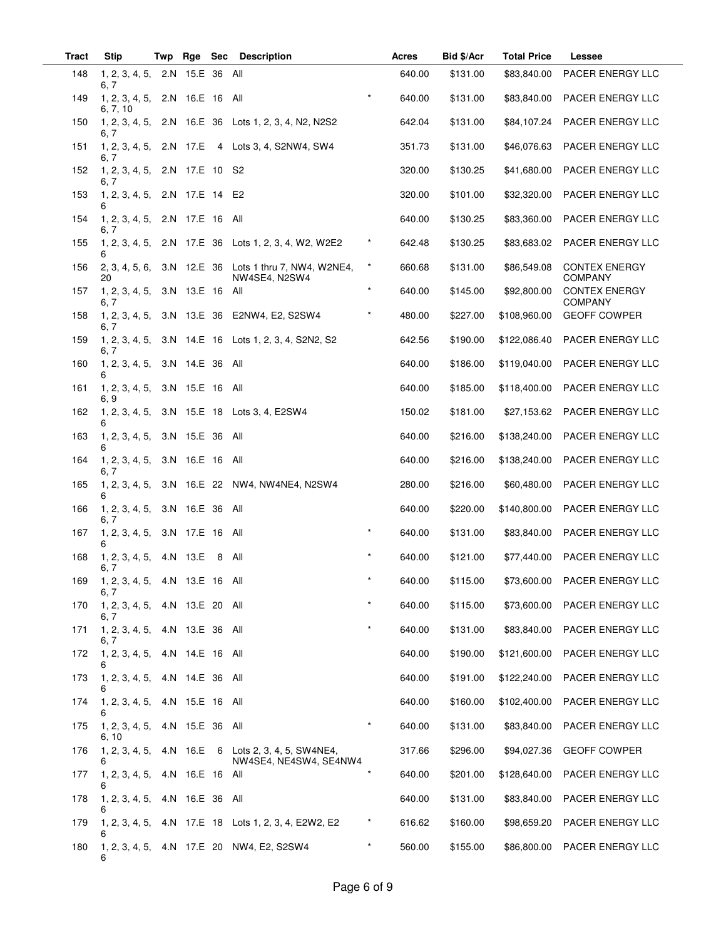| <b>Tract</b> | Stip                                   | Twp | Rge             | <b>Sec</b> | <b>Description</b>                                                           |          | Acres  | Bid \$/Acr | <b>Total Price</b> | Lessee                                 |
|--------------|----------------------------------------|-----|-----------------|------------|------------------------------------------------------------------------------|----------|--------|------------|--------------------|----------------------------------------|
| 148          | 1, 2, 3, 4, 5,<br>6, 7                 |     | 2.N 15.E 36 All |            |                                                                              |          | 640.00 | \$131.00   | \$83,840.00        | PACER ENERGY LLC                       |
| 149          | 1, 2, 3, 4, 5,<br>6, 7, 10             |     | 2.N 16.E 16     |            | All                                                                          |          | 640.00 | \$131.00   | \$83,840.00        | PACER ENERGY LLC                       |
| 150          | 1, 2, 3, 4, 5,<br>6, 7                 |     |                 |            | 2.N 16.E 36 Lots 1, 2, 3, 4, N2, N2S2                                        |          | 642.04 | \$131.00   | \$84,107.24        | PACER ENERGY LLC                       |
| 151          | 1, 2, 3, 4, 5, 2.N 17.E<br>6. 7        |     |                 |            | 4 Lots 3, 4, S2NW4, SW4                                                      |          | 351.73 | \$131.00   | \$46,076.63        | PACER ENERGY LLC                       |
| 152          | 1, 2, 3, 4, 5,<br>6, 7                 |     | 2.N 17.E 10 S2  |            |                                                                              |          | 320.00 | \$130.25   | \$41,680.00        | PACER ENERGY LLC                       |
| 153          | 1, 2, 3, 4, 5,<br>6                    |     | 2.N 17.E 14 E2  |            |                                                                              |          | 320.00 | \$101.00   | \$32,320.00        | PACER ENERGY LLC                       |
| 154          | 1, 2, 3, 4, 5,<br>6, 7                 |     | 2.N 17.E 16 All |            |                                                                              |          | 640.00 | \$130.25   | \$83,360.00        | PACER ENERGY LLC                       |
| 155          | 1, 2, 3, 4, 5,<br>6                    |     |                 |            | 2.N 17.E 36 Lots 1, 2, 3, 4, W2, W2E2                                        | $\ast$   | 642.48 | \$130.25   | \$83,683.02        | PACER ENERGY LLC                       |
| 156          | 2, 3, 4, 5, 6,<br>20                   |     |                 |            | 3.N 12.E 36 Lots 1 thru 7, NW4, W2NE4,<br>NW4SE4, N2SW4                      | $\star$  | 660.68 | \$131.00   | \$86,549.08        | <b>CONTEX ENERGY</b><br><b>COMPANY</b> |
| 157          | 1, 2, 3, 4, 5,<br>6, 7                 |     | 3.N 13.E 16 All |            |                                                                              | $\star$  | 640.00 | \$145.00   | \$92,800.00        | <b>CONTEX ENERGY</b><br><b>COMPANY</b> |
| 158          | 6, 7                                   |     |                 |            | 1, 2, 3, 4, 5, 3.N 13.E 36 E2NW4, E2, S2SW4                                  |          | 480.00 | \$227.00   | \$108,960.00       | <b>GEOFF COWPER</b>                    |
| 159          | 1, 2, 3, 4, 5,<br>6, 7                 |     |                 |            | 3.N 14.E 16 Lots 1, 2, 3, 4, S2N2, S2                                        |          | 642.56 | \$190.00   | \$122,086.40       | PACER ENERGY LLC                       |
| 160          | 1, 2, 3, 4, 5,<br>6                    |     | 3.N 14.E 36     |            | All                                                                          |          | 640.00 | \$186.00   | \$119,040.00       | PACER ENERGY LLC                       |
| 161          | 1, 2, 3, 4, 5,<br>6, 9                 |     | 3.N 15.E 16     |            | All                                                                          |          | 640.00 | \$185.00   | \$118,400.00       | PACER ENERGY LLC                       |
| 162          | 1, 2, 3, 4, 5,<br>6                    |     |                 |            | 3.N 15.E 18 Lots 3, 4, E2SW4                                                 |          | 150.02 | \$181.00   | \$27,153.62        | PACER ENERGY LLC                       |
| 163          | 1, 2, 3, 4, 5,<br>6                    |     | 3.N 15.E 36     |            | All                                                                          |          | 640.00 | \$216.00   | \$138,240.00       | PACER ENERGY LLC                       |
| 164          | 1, 2, 3, 4, 5,<br>6.7                  | 3.N | 16.E 16         |            | All                                                                          |          | 640.00 | \$216.00   | \$138,240.00       | PACER ENERGY LLC                       |
| 165          | 1, 2, 3, 4, 5,<br>6                    |     |                 |            | 3.N 16.E 22 NW4, NW4NE4, N2SW4                                               |          | 280.00 | \$216.00   | \$60,480.00        | PACER ENERGY LLC                       |
| 166          | 1, 2, 3, 4, 5,<br>6, 7                 |     | 3.N 16.E 36     |            | All                                                                          |          | 640.00 | \$220.00   | \$140,800.00       | PACER ENERGY LLC                       |
| 167          | 1, 2, 3, 4, 5,<br>6                    |     | 3.N 17.E 16     |            | All                                                                          | $^\star$ | 640.00 | \$131.00   | \$83,840.00        | PACER ENERGY LLC                       |
| 168          | 1, 2, 3, 4, 5, 4.N 13.E<br>6, 7        |     |                 | 8          | All                                                                          |          | 640.00 | \$121.00   | \$77,440.00        | PACER ENERGY LLC                       |
| 169          | 1, 2, 3, 4, 5, 4.N 13.E 16 All<br>6, 7 |     |                 |            |                                                                              |          | 640.00 | \$115.00   |                    | \$73,600.00 PACER ENERGY LLC           |
| 170          | 1, 2, 3, 4, 5, 4.N 13.E 20 All<br>6, 7 |     |                 |            |                                                                              |          | 640.00 | \$115.00   | \$73,600.00        | PACER ENERGY LLC                       |
| 171          | 1, 2, 3, 4, 5, 4.N 13.E 36 All<br>6. 7 |     |                 |            |                                                                              | *        | 640.00 | \$131.00   | \$83,840.00        | PACER ENERGY LLC                       |
| 172          | 1, 2, 3, 4, 5,<br>6                    |     | 4.N 14.E 16 All |            |                                                                              |          | 640.00 | \$190.00   | \$121,600.00       | PACER ENERGY LLC                       |
| 173          | 1, 2, 3, 4, 5, 4.N 14.E 36 All<br>6    |     |                 |            |                                                                              |          | 640.00 | \$191.00   | \$122,240.00       | PACER ENERGY LLC                       |
| 174          | 1, 2, 3, 4, 5, 4.N 15.E 16 All<br>6    |     |                 |            |                                                                              |          | 640.00 | \$160.00   | \$102,400.00       | PACER ENERGY LLC                       |
| 175          | 1, 2, 3, 4, 5,<br>6, 10                |     | 4.N 15.E 36 All |            |                                                                              | $\star$  | 640.00 | \$131.00   | \$83,840.00        | PACER ENERGY LLC                       |
| 176          | 6                                      |     |                 |            | 1, 2, 3, 4, 5, 4.N 16.E 6 Lots 2, 3, 4, 5, SW4NE4,<br>NW4SE4, NE4SW4, SE4NW4 |          | 317.66 | \$296.00   | \$94,027.36        | <b>GEOFF COWPER</b>                    |
| 177          | 1, 2, 3, 4, 5,<br>6                    |     | 4.N 16.E 16 All |            |                                                                              | $\star$  | 640.00 | \$201.00   | \$128,640.00       | PACER ENERGY LLC                       |
| 178          | 1, 2, 3, 4, 5,<br>6                    |     | 4.N 16.E 36 All |            |                                                                              |          | 640.00 | \$131.00   | \$83,840.00        | PACER ENERGY LLC                       |
| 179          | 1, 2, 3, 4, 5,                         |     |                 |            | 4.N 17.E 18 Lots 1, 2, 3, 4, E2W2, E2                                        | $^\star$ | 616.62 | \$160.00   | \$98,659.20        | PACER ENERGY LLC                       |
| 180          | 6                                      |     |                 |            | 1, 2, 3, 4, 5, 4.N 17.E 20 NW4, E2, S2SW4                                    | $\star$  | 560.00 | \$155.00   | \$86,800.00        | PACER ENERGY LLC                       |

 $\overline{\phantom{a}}$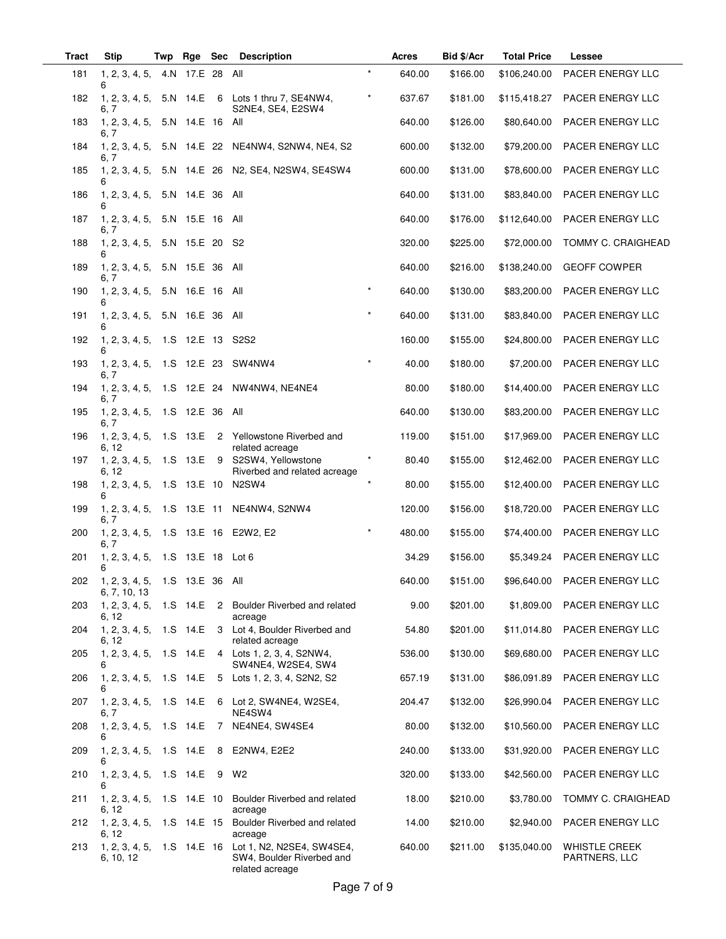| <b>Tract</b> | <b>Stip</b>                                        | Twp | Rge              | Sec | <b>Description</b>                                                                                   |         | Acres  | Bid \$/Acr | <b>Total Price</b> | Lessee                                |
|--------------|----------------------------------------------------|-----|------------------|-----|------------------------------------------------------------------------------------------------------|---------|--------|------------|--------------------|---------------------------------------|
| 181          | 1, 2, 3, 4, 5,<br>6                                |     | 4.N 17.E 28 All  |     |                                                                                                      | $\star$ | 640.00 | \$166.00   | \$106,240.00       | PACER ENERGY LLC                      |
| 182          | 1, 2, 3, 4, 5,<br>6, 7                             |     |                  |     | 5.N 14.E 6 Lots 1 thru 7, SE4NW4,<br>S2NE4, SE4, E2SW4                                               | $\star$ | 637.67 | \$181.00   | \$115,418.27       | PACER ENERGY LLC                      |
| 183          | 1, 2, 3, 4, 5, 5.N 14.E 16 All<br>6, 7             |     |                  |     |                                                                                                      |         | 640.00 | \$126.00   | \$80,640.00        | PACER ENERGY LLC                      |
| 184          | 6. 7                                               |     |                  |     | 1, 2, 3, 4, 5, 5.N 14.E 22 NE4NW4, S2NW4, NE4, S2                                                    |         | 600.00 | \$132.00   | \$79,200.00        | PACER ENERGY LLC                      |
| 185          | 1, 2, 3, 4, 5,<br>6                                |     |                  |     | 5.N 14.E 26 N2, SE4, N2SW4, SE4SW4                                                                   |         | 600.00 | \$131.00   | \$78,600.00        | PACER ENERGY LLC                      |
| 186          | 1, 2, 3, 4, 5,<br>6                                |     | 5.N 14.E 36 All  |     |                                                                                                      |         | 640.00 | \$131.00   | \$83,840.00        | PACER ENERGY LLC                      |
| 187          | 1, 2, 3, 4, 5,<br>6, 7                             |     | 5.N 15.E 16 All  |     |                                                                                                      |         | 640.00 | \$176.00   | \$112,640.00       | PACER ENERGY LLC                      |
| 188          | 1, 2, 3, 4, 5, 5.N 15.E 20 S2<br>6                 |     |                  |     |                                                                                                      |         | 320.00 | \$225.00   | \$72,000.00        | TOMMY C. CRAIGHEAD                    |
| 189          | 1, 2, 3, 4, 5,<br>6, 7                             |     | 5.N 15.E 36 All  |     |                                                                                                      |         | 640.00 | \$216.00   | \$138,240.00       | <b>GEOFF COWPER</b>                   |
| 190          | 1, 2, 3, 4, 5,                                     |     | 5.N 16.E 16 All  |     |                                                                                                      | $\star$ | 640.00 | \$130.00   | \$83,200.00        | PACER ENERGY LLC                      |
| 191          | 1, 2, 3, 4, 5, 5.N 16.E 36 All<br>6                |     |                  |     |                                                                                                      | $\star$ | 640.00 | \$131.00   | \$83,840.00        | PACER ENERGY LLC                      |
| 192          | 1, 2, 3, 4, 5,<br>6                                |     | 1.S 12.E 13 S2S2 |     |                                                                                                      |         | 160.00 | \$155.00   | \$24,800.00        | PACER ENERGY LLC                      |
| 193          | 1, 2, 3, 4, 5,<br>6, 7                             |     | 1.S 12.E 23      |     | SW4NW4                                                                                               |         | 40.00  | \$180.00   | \$7,200.00         | PACER ENERGY LLC                      |
| 194          | 6, 7                                               |     |                  |     | 1, 2, 3, 4, 5, 1.S 12.E 24 NW4NW4, NE4NE4                                                            |         | 80.00  | \$180.00   | \$14,400.00        | PACER ENERGY LLC                      |
| 195          | 1, 2, 3, 4, 5, 1.S 12.E 36 All<br>6, 7             |     |                  |     |                                                                                                      |         | 640.00 | \$130.00   | \$83,200.00        | PACER ENERGY LLC                      |
| 196          | 1, 2, 3, 4, 5, 1.S 13.E<br>6, 12                   |     |                  |     | 2 Yellowstone Riverbed and<br>related acreage                                                        |         | 119.00 | \$151.00   | \$17,969.00        | PACER ENERGY LLC                      |
| 197          | 1, 2, 3, 4, 5, 1.S 13.E<br>6, 12                   |     |                  |     | 9 S2SW4, Yellowstone<br>Riverbed and related acreage                                                 | $\star$ | 80.40  | \$155.00   | \$12,462.00        | PACER ENERGY LLC                      |
| 198          | 1, 2, 3, 4, 5, 1.S 13.E 10 N2SW4<br>6              |     |                  |     |                                                                                                      | $\star$ | 80.00  | \$155.00   | \$12,400.00        | PACER ENERGY LLC                      |
| 199          | 6, 7                                               |     |                  |     | 1, 2, 3, 4, 5, 1.S 13.E 11 NE4NW4, S2NW4                                                             |         | 120.00 | \$156.00   | \$18,720.00        | PACER ENERGY LLC                      |
| 200          | 1, 2, 3, 4, 5, 1.S 13.E 16 E2W2, E2<br>6, 7        |     |                  |     |                                                                                                      | $\star$ | 480.00 | \$155.00   | \$74,400.00        | PACER ENERGY LLC                      |
| 201          | 1, 2, 3, 4, 5, 1.S 13.E 18 Lot 6<br>6              |     |                  |     |                                                                                                      |         | 34.29  | \$156.00   | \$5,349.24         | PACER ENERGY LLC                      |
|              | 202 1, 2, 3, 4, 5, 1.S 13.E 36 All<br>6, 7, 10, 13 |     |                  |     |                                                                                                      |         | 640.00 | \$151.00   |                    | \$96,640.00 PACER ENERGY LLC          |
| 203          | 6, 12                                              |     |                  |     | 1, 2, 3, 4, 5, 1.S 14.E 2 Boulder Riverbed and related<br>acreage                                    |         | 9.00   | \$201.00   | \$1,809.00         | PACER ENERGY LLC                      |
| 204          | 6, 12                                              |     |                  |     | 1, 2, 3, 4, 5, 1.S 14.E 3 Lot 4, Boulder Riverbed and<br>related acreage                             |         | 54.80  | \$201.00   | \$11,014.80        | PACER ENERGY LLC                      |
| 205          | 6                                                  |     |                  |     | 1, 2, 3, 4, 5, 1.S 14.E 4 Lots 1, 2, 3, 4, S2NW4,<br>SW4NE4, W2SE4, SW4                              |         | 536.00 | \$130.00   | \$69,680.00        | PACER ENERGY LLC                      |
| 206          | 6                                                  |     |                  |     | 1, 2, 3, 4, 5, 1.S 14.E 5 Lots 1, 2, 3, 4, S2N2, S2                                                  |         | 657.19 | \$131.00   | \$86,091.89        | PACER ENERGY LLC                      |
| 207          | 6, 7                                               |     |                  |     | 1, 2, 3, 4, 5, 1.S 14.E 6 Lot 2, SW4NE4, W2SE4,<br>NE4SW4                                            |         | 204.47 | \$132.00   | \$26,990.04        | PACER ENERGY LLC                      |
| 208          | 1, 2, 3, 4, 5, 1.S 14.E<br>6                       |     |                  |     | 7 NE4NE4, SW4SE4                                                                                     |         | 80.00  | \$132.00   | \$10,560.00        | PACER ENERGY LLC                      |
| 209          | 6                                                  |     |                  |     | 1, 2, 3, 4, 5, 1.S 14.E 8 E2NW4, E2E2                                                                |         | 240.00 | \$133.00   | \$31,920.00        | PACER ENERGY LLC                      |
| 210          | 1, 2, 3, 4, 5, 1.S 14.E 9 W2<br>6                  |     |                  |     |                                                                                                      |         | 320.00 | \$133.00   | \$42,560.00        | PACER ENERGY LLC                      |
| 211          | 6, 12                                              |     |                  |     | 1, 2, 3, 4, 5, 1.S 14.E 10 Boulder Riverbed and related<br>acreage                                   |         | 18.00  | \$210.00   | \$3,780.00         | <b>TOMMY C. CRAIGHEAD</b>             |
| 212          | 6, 12                                              |     |                  |     | 1, 2, 3, 4, 5, 1.S 14.E 15 Boulder Riverbed and related<br>acreage                                   |         | 14.00  | \$210.00   | \$2,940.00         | PACER ENERGY LLC                      |
| 213          | 6, 10, 12                                          |     |                  |     | 1, 2, 3, 4, 5, 1.S 14.E 16 Lot 1, N2, N2SE4, SW4SE4,<br>SW4, Boulder Riverbed and<br>related acreage |         | 640.00 | \$211.00   | \$135,040.00       | <b>WHISTLE CREEK</b><br>PARTNERS, LLC |

 $\overline{\phantom{0}}$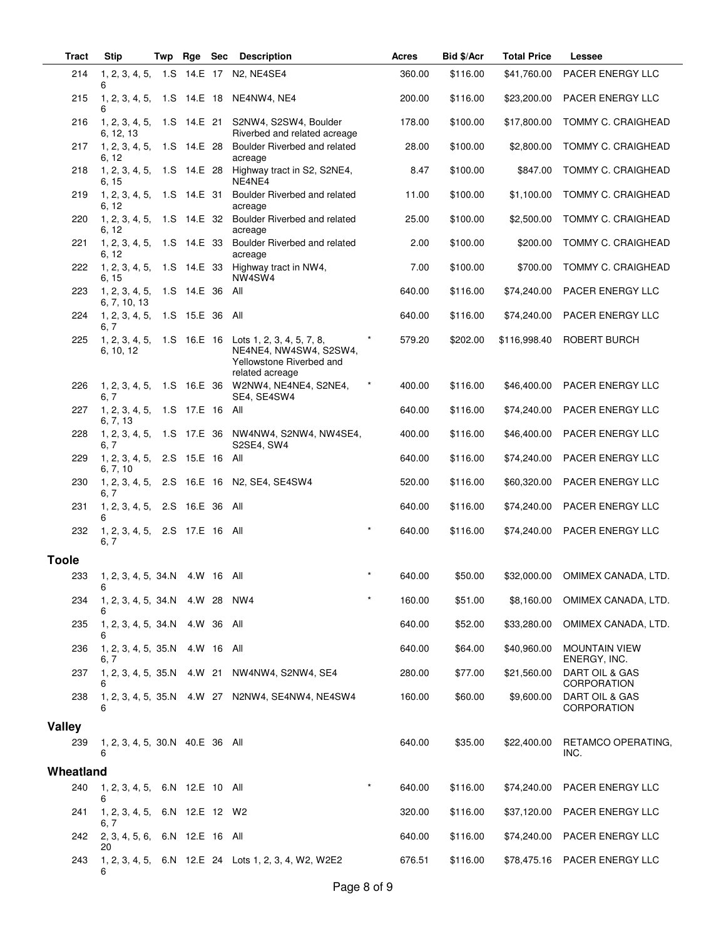| <b>Tract</b>  | <b>Stip</b>                                | Twp | Rge Sec         |            | <b>Description</b>                                                                                                            |         | Acres  | Bid \$/Acr | <b>Total Price</b> | Lessee                               |
|---------------|--------------------------------------------|-----|-----------------|------------|-------------------------------------------------------------------------------------------------------------------------------|---------|--------|------------|--------------------|--------------------------------------|
| 214           | 1, 2, 3, 4, 5, 1.S 14.E 17<br>6            |     |                 |            | N <sub>2</sub> , NE4SE4                                                                                                       |         | 360.00 | \$116.00   | \$41,760.00        | PACER ENERGY LLC                     |
| 215           | 6                                          |     |                 |            | 1, 2, 3, 4, 5, 1.S 14.E 18 NE4NW4, NE4                                                                                        |         | 200.00 | \$116.00   | \$23,200.00        | PACER ENERGY LLC                     |
| 216           | 1, 2, 3, 4, 5, 1.S 14.E 21<br>6, 12, 13    |     |                 |            | S2NW4, S2SW4, Boulder<br>Riverbed and related acreage                                                                         |         | 178.00 | \$100.00   | \$17,800.00        | TOMMY C. CRAIGHEAD                   |
| 217           | 1, 2, 3, 4, 5, 1.S 14.E 28<br>6, 12        |     |                 |            | Boulder Riverbed and related<br>acreage                                                                                       |         | 28.00  | \$100.00   | \$2,800.00         | TOMMY C. CRAIGHEAD                   |
| 218           | 1, 2, 3, 4, 5, 1.S 14.E 28<br>6, 15        |     |                 |            | Highway tract in S2, S2NE4,<br>NE4NE4                                                                                         |         | 8.47   | \$100.00   | \$847.00           | TOMMY C. CRAIGHEAD                   |
| 219           | 1, 2, 3, 4, 5, 1.S 14.E 31<br>6, 12        |     |                 |            | Boulder Riverbed and related<br>acreage                                                                                       |         | 11.00  | \$100.00   | \$1,100.00         | <b>TOMMY C. CRAIGHEAD</b>            |
| 220           | 1, 2, 3, 4, 5, 1.S 14.E 32<br>6, 12        |     |                 |            | Boulder Riverbed and related<br>acreage                                                                                       |         | 25.00  | \$100.00   | \$2,500.00         | TOMMY C. CRAIGHEAD                   |
| 221           | 1, 2, 3, 4, 5, 1.S 14.E 33<br>6. 12        |     |                 |            | Boulder Riverbed and related<br>acreage                                                                                       |         | 2.00   | \$100.00   | \$200.00           | TOMMY C. CRAIGHEAD                   |
| 222           | 6, 15                                      |     |                 |            | 1, 2, 3, 4, 5, 1.S 14.E 33 Highway tract in NW4,<br>NW4SW4                                                                    |         | 7.00   | \$100.00   | \$700.00           | TOMMY C. CRAIGHEAD                   |
| 223           | 1, 2, 3, 4, 5,<br>6, 7, 10, 13             |     | 1.S 14.E 36     |            | All                                                                                                                           |         | 640.00 | \$116.00   | \$74,240.00        | PACER ENERGY LLC                     |
| 224           | 1, 2, 3, 4, 5, 1.S 15.E 36 All<br>6, 7     |     |                 |            |                                                                                                                               |         | 640.00 | \$116.00   | \$74,240.00        | <b>PACER ENERGY LLC</b>              |
| 225           | 6, 10, 12                                  |     |                 |            | 1, 2, 3, 4, 5, 1.S 16.E 16 Lots 1, 2, 3, 4, 5, 7, 8,<br>NE4NE4, NW4SW4, S2SW4,<br>Yellowstone Riverbed and<br>related acreage |         | 579.20 | \$202.00   | \$116,998.40       | ROBERT BURCH                         |
| 226           | 6.7                                        |     |                 |            | 1, 2, 3, 4, 5, 1.S 16.E 36 W2NW4, NE4NE4, S2NE4,<br>SE4, SE4SW4                                                               |         | 400.00 | \$116.00   | \$46,400.00        | PACER ENERGY LLC                     |
| 227           | 1, 2, 3, 4, 5, 1.S 17.E 16 All<br>6, 7, 13 |     |                 |            |                                                                                                                               |         | 640.00 | \$116.00   | \$74,240.00        | PACER ENERGY LLC                     |
| 228           | 6, 7                                       |     |                 |            | 1, 2, 3, 4, 5, 1.S 17.E 36 NW4NW4, S2NW4, NW4SE4,<br>S2SE4, SW4                                                               |         | 400.00 | \$116.00   | \$46,400.00        | PACER ENERGY LLC                     |
| 229           | 1, 2, 3, 4, 5, 2.S 15.E 16 All<br>6, 7, 10 |     |                 |            |                                                                                                                               |         | 640.00 | \$116.00   | \$74,240.00        | PACER ENERGY LLC                     |
| 230           | 6.7                                        |     |                 |            | 1, 2, 3, 4, 5, 2.S 16.E 16 N2, SE4, SE4SW4                                                                                    |         | 520.00 | \$116.00   | \$60,320.00        | PACER ENERGY LLC                     |
| 231           | 1, 2, 3, 4, 5, 2.S 16.E 36 All<br>6        |     |                 |            |                                                                                                                               |         | 640.00 | \$116.00   | \$74,240.00        | PACER ENERGY LLC                     |
| 232           | 1, 2, 3, 4, 5,<br>6, 7                     |     | 2.S 17.E 16 All |            |                                                                                                                               | $\star$ | 640.00 | \$116.00   | \$74,240.00        | PACER ENERGY LLC                     |
| <b>Toole</b>  |                                            |     |                 |            |                                                                                                                               |         |        |            |                    |                                      |
| 233           | 1, 2, 3, 4, 5, 34.N 4.W 16 All<br>6        |     |                 |            |                                                                                                                               |         | 640.00 | \$50.00    | \$32,000.00        | OMIMEX CANADA, LTD.                  |
| 234           | 1, 2, 3, 4, 5, 34. N 4. W 28 NW4<br>6      |     |                 |            |                                                                                                                               |         | 160.00 | \$51.00    | \$8,160.00         | OMIMEX CANADA, LTD.                  |
| 235           | 1, 2, 3, 4, 5, 34. N<br>6                  |     | 4.W 36          |            | All                                                                                                                           |         | 640.00 | \$52.00    | \$33,280.00        | OMIMEX CANADA, LTD.                  |
| 236           | 1, 2, 3, 4, 5, 35.N<br>6. 7                |     |                 | 4.W 16 All |                                                                                                                               |         | 640.00 | \$64.00    | \$40,960.00        | <b>MOUNTAIN VIEW</b><br>ENERGY, INC. |
| 237           | 1, 2, 3, 4, 5, 35.N 4.W 21<br>6            |     |                 |            | NW4NW4, S2NW4, SE4                                                                                                            |         | 280.00 | \$77.00    | \$21,560.00        | DART OIL & GAS<br><b>CORPORATION</b> |
| 238           | 6                                          |     |                 |            | 1, 2, 3, 4, 5, 35.N 4.W 27 N2NW4, SE4NW4, NE4SW4                                                                              |         | 160.00 | \$60.00    | \$9,600.00         | DART OIL & GAS<br><b>CORPORATION</b> |
| <b>Valley</b> |                                            |     |                 |            |                                                                                                                               |         |        |            |                    |                                      |
| 239           | 1, 2, 3, 4, 5, 30.N 40.E 36 All<br>6       |     |                 |            |                                                                                                                               |         | 640.00 | \$35.00    | \$22,400.00        | RETAMCO OPERATING,<br>INC.           |
| Wheatland     |                                            |     |                 |            |                                                                                                                               |         |        |            |                    |                                      |
| 240           | 1, 2, 3, 4, 5, 6.N 12.E 10 All<br>6        |     |                 |            |                                                                                                                               | $\star$ | 640.00 | \$116.00   | \$74,240.00        | PACER ENERGY LLC                     |
| 241           | 1, 2, 3, 4, 5,<br>6, 7                     |     | 6.N 12.E 12 W2  |            |                                                                                                                               |         | 320.00 | \$116.00   | \$37,120.00        | PACER ENERGY LLC                     |
| 242           | 2, 3, 4, 5, 6,<br>20                       |     | 6.N 12.E 16 All |            |                                                                                                                               |         | 640.00 | \$116.00   | \$74,240.00        | PACER ENERGY LLC                     |
| 243           | 6                                          |     |                 |            | 1, 2, 3, 4, 5, 6.N 12.E 24 Lots 1, 2, 3, 4, W2, W2E2                                                                          |         | 676.51 | \$116.00   | \$78,475.16        | PACER ENERGY LLC                     |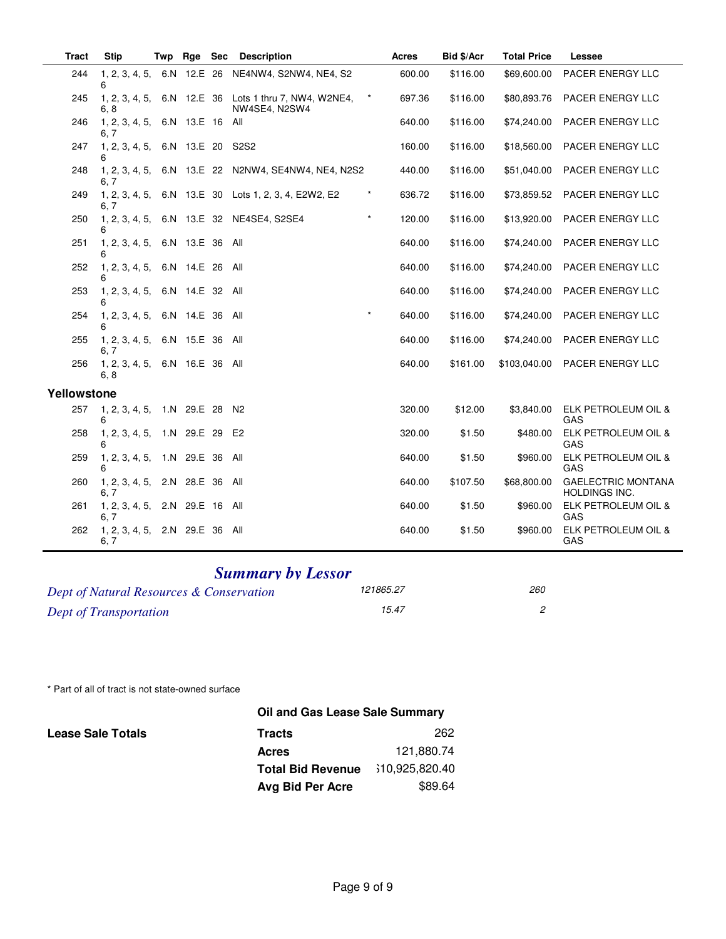| <b>Tract</b> | <b>Stip</b>                            | Twp | Rge | <b>Sec</b> | <b>Description</b>                                                     |          | <b>Acres</b> | Bid \$/Acr | <b>Total Price</b> | Lessee                                            |
|--------------|----------------------------------------|-----|-----|------------|------------------------------------------------------------------------|----------|--------------|------------|--------------------|---------------------------------------------------|
| 244          | 6                                      |     |     |            | 1, 2, 3, 4, 5, 6.N 12.E 26 NE4NW4, S2NW4, NE4, S2                      |          | 600.00       | \$116.00   | \$69,600.00        | PACER ENERGY LLC                                  |
| 245          | 6.8                                    |     |     |            | 1, 2, 3, 4, 5, 6.N 12.E 36 Lots 1 thru 7, NW4, W2NE4,<br>NW4SE4, N2SW4 | $\star$  | 697.36       | \$116.00   | \$80,893.76        | PACER ENERGY LLC                                  |
| 246          | 1, 2, 3, 4, 5, 6.N 13.E 16 All<br>6, 7 |     |     |            |                                                                        |          | 640.00       | \$116.00   | \$74,240.00        | <b>PACER ENERGY LLC</b>                           |
| 247          | 1, 2, 3, 4, 5, 6.N 13.E 20 S2S2<br>6   |     |     |            |                                                                        |          | 160.00       | \$116.00   | \$18,560.00        | PACER ENERGY LLC                                  |
| 248          | 6, 7                                   |     |     |            | 1, 2, 3, 4, 5, 6.N 13.E 22 N2NW4, SE4NW4, NE4, N2S2                    |          | 440.00       | \$116.00   | \$51,040.00        | PACER ENERGY LLC                                  |
| 249          | 6, 7                                   |     |     |            | 1, 2, 3, 4, 5, 6.N 13.E 30 Lots 1, 2, 3, 4, E2W2, E2                   | $^\star$ | 636.72       | \$116.00   | \$73,859.52        | PACER ENERGY LLC                                  |
| 250          | հ                                      |     |     |            | 1, 2, 3, 4, 5, 6.N 13.E 32 NE4SE4, S2SE4                               | $\star$  | 120.00       | \$116.00   | \$13,920.00        | PACER ENERGY LLC                                  |
| 251          | 1, 2, 3, 4, 5, 6.N 13.E 36 All<br>6    |     |     |            |                                                                        |          | 640.00       | \$116.00   | \$74,240,00        | <b>PACER ENERGY LLC</b>                           |
| 252          | 1, 2, 3, 4, 5, 6.N 14.E 26 All<br>6    |     |     |            |                                                                        |          | 640.00       | \$116.00   | \$74,240.00        | PACER ENERGY LLC                                  |
| 253          | 1, 2, 3, 4, 5, 6.N 14.E 32 All<br>6    |     |     |            |                                                                        |          | 640.00       | \$116.00   | \$74,240.00        | PACER ENERGY LLC                                  |
| 254          | 1, 2, 3, 4, 5, 6.N 14.E 36 All         |     |     |            |                                                                        | $\star$  | 640.00       | \$116.00   | \$74,240.00        | PACER ENERGY LLC                                  |
| 255          | 1, 2, 3, 4, 5, 6.N 15.E 36 All<br>6.7  |     |     |            |                                                                        |          | 640.00       | \$116.00   | \$74,240.00        | PACER ENERGY LLC                                  |
| 256          | 1, 2, 3, 4, 5, 6.N 16.E 36 All<br>6.8  |     |     |            |                                                                        |          | 640.00       | \$161.00   | \$103,040.00       | PACER ENERGY LLC                                  |
| Yellowstone  |                                        |     |     |            |                                                                        |          |              |            |                    |                                                   |
| 257          | 1, 2, 3, 4, 5, 1.N 29.E 28 N2<br>6     |     |     |            |                                                                        |          | 320.00       | \$12.00    | \$3,840.00         | ELK PETROLEUM OIL &<br>GAS                        |
| 258          | 1, 2, 3, 4, 5, 1.N 29.E 29 E2<br>ิค    |     |     |            |                                                                        |          | 320.00       | \$1.50     | \$480.00           | ELK PETROLEUM OIL &<br>GAS                        |
| 259          | 1, 2, 3, 4, 5, 1.N 29.E 36 All<br>6    |     |     |            |                                                                        |          | 640.00       | \$1.50     | \$960.00           | ELK PETROLEUM OIL &<br>GAS                        |
| 260          | 1, 2, 3, 4, 5, 2.N 28.E 36 All<br>6.7  |     |     |            |                                                                        |          | 640.00       | \$107.50   | \$68,800.00        | <b>GAELECTRIC MONTANA</b><br><b>HOLDINGS INC.</b> |
| 261          | 1, 2, 3, 4, 5, 2.N 29.E 16 All<br>6, 7 |     |     |            |                                                                        |          | 640.00       | \$1.50     | \$960.00           | ELK PETROLEUM OIL &<br>GAS                        |
| 262          | 1, 2, 3, 4, 5, 2.N 29.E 36 All<br>6, 7 |     |     |            |                                                                        |          | 640.00       | \$1.50     | \$960.00           | ELK PETROLEUM OIL &<br>GAS                        |

## **Summary by Lessor**

| Dept of Natural Resources & Conservation | 121865.27 | 260 |
|------------------------------------------|-----------|-----|
| Dept of Transportation                   | 15.47     |     |

\* Part of all of tract is not state-owned surface

|                          | <b>Oil and Gas Lease Sale Summary</b> |                 |
|--------------------------|---------------------------------------|-----------------|
| <b>Lease Sale Totals</b> | <b>Tracts</b>                         | 262             |
|                          | <b>Acres</b>                          | 121.880.74      |
|                          | <b>Total Bid Revenue</b>              | \$10,925,820.40 |
|                          | Avg Bid Per Acre                      | \$89.64         |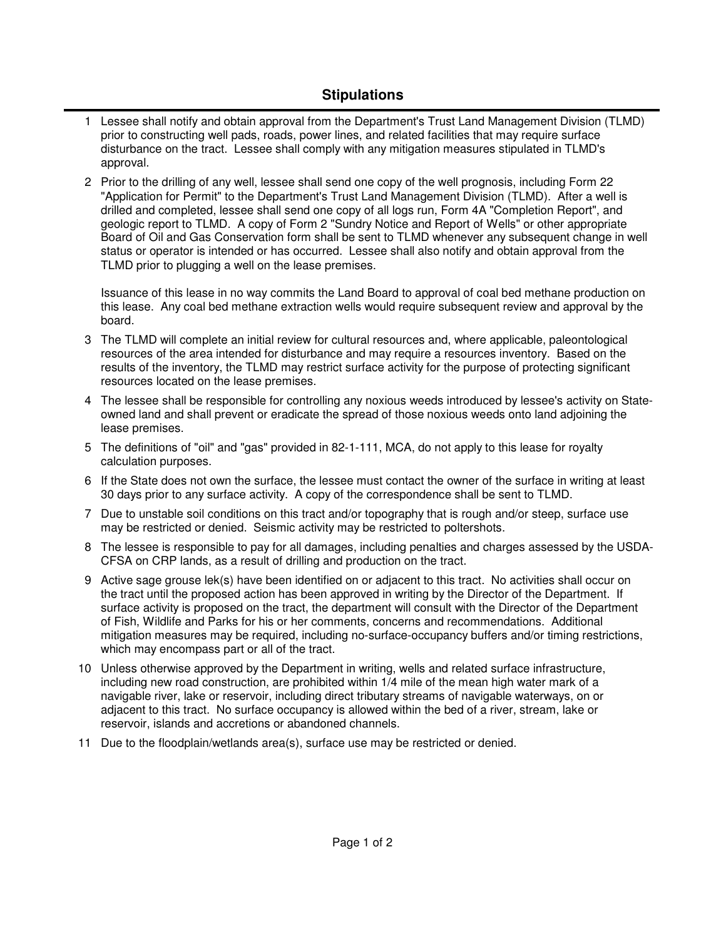## **Stipulations**

- 1 Lessee shall notify and obtain approval from the Department's Trust Land Management Division (TLMD) prior to constructing well pads, roads, power lines, and related facilities that may require surface disturbance on the tract. Lessee shall comply with any mitigation measures stipulated in TLMD's approval.
- 2 Prior to the drilling of any well, lessee shall send one copy of the well prognosis, including Form 22 "Application for Permit" to the Department's Trust Land Management Division (TLMD). After a well is drilled and completed, lessee shall send one copy of all logs run, Form 4A "Completion Report", and geologic report to TLMD. A copy of Form 2 "Sundry Notice and Report of Wells" or other appropriate Board of Oil and Gas Conservation form shall be sent to TLMD whenever any subsequent change in well status or operator is intended or has occurred. Lessee shall also notify and obtain approval from the TLMD prior to plugging a well on the lease premises.

Issuance of this lease in no way commits the Land Board to approval of coal bed methane production on this lease. Any coal bed methane extraction wells would require subsequent review and approval by the board.

- The TLMD will complete an initial review for cultural resources and, where applicable, paleontological 3 resources of the area intended for disturbance and may require a resources inventory. Based on the results of the inventory, the TLMD may restrict surface activity for the purpose of protecting significant resources located on the lease premises.
- The lessee shall be responsible for controlling any noxious weeds introduced by lessee's activity on State-4 owned land and shall prevent or eradicate the spread of those noxious weeds onto land adjoining the lease premises.
- 5 The definitions of "oil" and "gas" provided in 82-1-111, MCA, do not apply to this lease for royalty calculation purposes.
- 6 If the State does not own the surface, the lessee must contact the owner of the surface in writing at least 30 days prior to any surface activity. A copy of the correspondence shall be sent to TLMD.
- 7 Due to unstable soil conditions on this tract and/or topography that is rough and/or steep, surface use may be restricted or denied. Seismic activity may be restricted to poltershots.
- 8 The lessee is responsible to pay for all damages, including penalties and charges assessed by the USDA-CFSA on CRP lands, as a result of drilling and production on the tract.
- 9 Active sage grouse lek(s) have been identified on or adjacent to this tract. No activities shall occur on the tract until the proposed action has been approved in writing by the Director of the Department. If surface activity is proposed on the tract, the department will consult with the Director of the Department of Fish, Wildlife and Parks for his or her comments, concerns and recommendations. Additional mitigation measures may be required, including no-surface-occupancy buffers and/or timing restrictions, which may encompass part or all of the tract.
- 10 Unless otherwise approved by the Department in writing, wells and related surface infrastructure, including new road construction, are prohibited within 1/4 mile of the mean high water mark of a navigable river, lake or reservoir, including direct tributary streams of navigable waterways, on or adjacent to this tract. No surface occupancy is allowed within the bed of a river, stream, lake or reservoir, islands and accretions or abandoned channels.
- 11 Due to the floodplain/wetlands area(s), surface use may be restricted or denied.